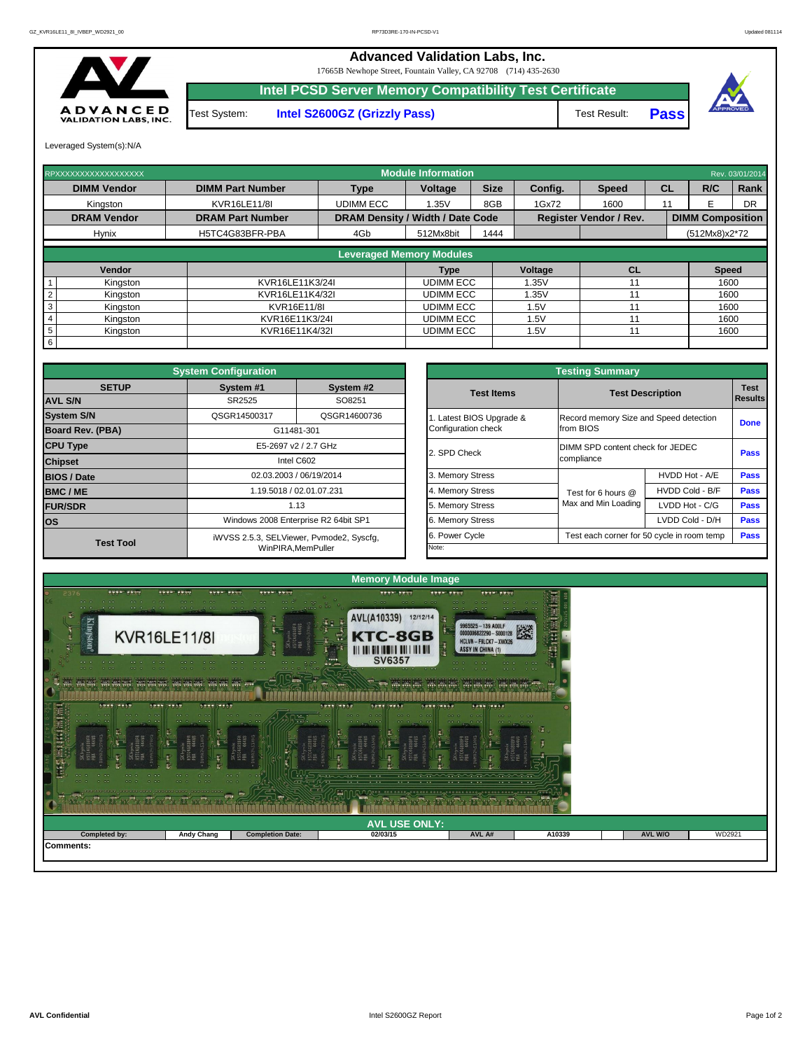| <b>COL</b><br>$-0.01$<br>$-0.000$<br><b>COLOR</b><br>0.00<br>opte crise | $\mathcal{L} = \mathcal{L} \cdot \mathcal{L} = \mathcal{L} \cdot \mathcal{L}$<br><b>DR D</b><br>$-0.06$ $-0.06$ | $\sim$ $\sim$ $\sim$ $\sim$ $\sim$ $\sim$<br>$\sigma$ . $\sim$ $\sigma$ $\sim$ $\sim$ $\sim$<br>$-0.01 - 0.01$<br>$\begin{array}{ccc} \bullet & \bullet & \bullet \end{array}$ | $\cdots$<br>فاستحدث والمستدرات<br>the self-the property of the contract of<br>$\cdots$ | manamananamanamana.<br>$\cdots$<br>$-1$ | $\cdots$ |                |        |
|-------------------------------------------------------------------------|-----------------------------------------------------------------------------------------------------------------|--------------------------------------------------------------------------------------------------------------------------------------------------------------------------------|----------------------------------------------------------------------------------------|-----------------------------------------|----------|----------------|--------|
|                                                                         |                                                                                                                 |                                                                                                                                                                                | <b>AVL USE ONLY:</b>                                                                   |                                         |          |                |        |
| <b>Completed by:</b>                                                    | <b>Andy Chang</b>                                                                                               | <b>Completion Date:</b>                                                                                                                                                        | 02/03/15                                                                               | AVL A#                                  | A10339   | <b>AVL W/O</b> | WD2921 |
| Comments:                                                               |                                                                                                                 |                                                                                                                                                                                |                                                                                        |                                         |          |                |        |



|                         | <b>System Configuration</b> |                                          |                     |                          | <b>Testing Summary</b>                     |                         |             |
|-------------------------|-----------------------------|------------------------------------------|---------------------|--------------------------|--------------------------------------------|-------------------------|-------------|
| <b>SETUP</b>            | System #1                   | System #2                                |                     | <b>Test Items</b>        |                                            | <b>Test Description</b> | <b>Test</b> |
| <b>AVL S/N</b>          | SR2525                      | SO8251                                   |                     |                          |                                            |                         | Results     |
| <b>System S/N</b>       | QSGR14500317                | QSGR14600736                             |                     | 1. Latest BIOS Upgrade & | Record memory Size and Speed detection     |                         | <b>Done</b> |
| <b>Board Rev. (PBA)</b> |                             | G11481-301                               | Configuration check |                          | from BIOS                                  |                         |             |
| <b>CPU Type</b>         |                             | E5-2697 v2 / 2.7 GHz                     | 2. SPD Check        |                          | DIMM SPD content check for JEDEC           |                         | <b>Pass</b> |
| <b>Chipset</b>          |                             | Intel C602                               |                     |                          | compliance                                 |                         |             |
| <b>BIOS / Date</b>      |                             | 02.03.2003 / 06/19/2014                  | 3. Memory Stress    |                          |                                            | HVDD Hot - A/E          | <b>Pass</b> |
| <b>BMC/ME</b>           |                             | 1.19.5018 / 02.01.07.231                 | 4. Memory Stress    |                          | Test for 6 hours @                         | HVDD Cold - B/F         | <b>Pass</b> |
| <b>FUR/SDR</b>          |                             | 1.13                                     | 5. Memory Stress    |                          | Max and Min Loading                        | LVDD Hot - C/G          | <b>Pass</b> |
| <b>los</b>              |                             | Windows 2008 Enterprise R2 64bit SP1     | 6. Memory Stress    |                          |                                            | LVDD Cold - D/H         | <b>Pass</b> |
| <b>Test Tool</b>        |                             | iWVSS 2.5.3, SELViewer, Pvmode2, Syscfg, | 6. Power Cycle      |                          | Test each corner for 50 cycle in room temp |                         | <b>Pass</b> |
|                         |                             | WinPIRA, MemPuller                       | Note:               |                          |                                            |                         |             |

| <b>Testing Summary</b>                          |                                            |                                                       |             |  |  |  |  |  |  |  |  |
|-------------------------------------------------|--------------------------------------------|-------------------------------------------------------|-------------|--|--|--|--|--|--|--|--|
| <b>Test Items</b>                               |                                            | <b>Test Description</b>                               |             |  |  |  |  |  |  |  |  |
| 1. Latest BIOS Upgrade &<br>Configuration check | from BIOS                                  | Record memory Size and Speed detection<br><b>Done</b> |             |  |  |  |  |  |  |  |  |
| 2. SPD Check                                    | compliance                                 | DIMM SPD content check for JEDEC                      |             |  |  |  |  |  |  |  |  |
| 3. Memory Stress                                |                                            | HVDD Hot - A/E                                        | <b>Pass</b> |  |  |  |  |  |  |  |  |
| 4. Memory Stress                                | Test for 6 hours $@$                       | HVDD Cold - B/F                                       | <b>Pass</b> |  |  |  |  |  |  |  |  |
| 5. Memory Stress                                | Max and Min Loading                        | LVDD Hot - C/G                                        | <b>Pass</b> |  |  |  |  |  |  |  |  |
| 6. Memory Stress                                |                                            | LVDD Cold - D/H                                       | <b>Pass</b> |  |  |  |  |  |  |  |  |
| 6. Power Cycle                                  | Test each corner for 50 cycle in room temp |                                                       | <b>Pass</b> |  |  |  |  |  |  |  |  |
| Note:                                           |                                            |                                                       |             |  |  |  |  |  |  |  |  |

| RPXXXXXXXXXXXXXXXXXX        |                         |                                         | <b>Module Information</b> |             |         |                               |           |                         | Rev. 03/01/2014 |
|-----------------------------|-------------------------|-----------------------------------------|---------------------------|-------------|---------|-------------------------------|-----------|-------------------------|-----------------|
| <b>DIMM Vendor</b>          | <b>DIMM Part Number</b> | <b>Type</b>                             | Voltage                   | <b>Size</b> | Config. | <b>Speed</b>                  | <b>CL</b> | R/C                     | Rank            |
| Kingston                    | <b>KVR16LE11/8I</b>     | <b>UDIMM ECC</b>                        | 1.35V                     | 8GB         | 1Gx72   | 1600                          | 11        |                         | DR              |
| <b>DRAM Vendor</b>          | <b>DRAM Part Number</b> | <b>DRAM Density / Width / Date Code</b> |                           |             |         | <b>Register Vendor / Rev.</b> |           | <b>DIMM Composition</b> |                 |
| <b>Hynix</b>                | H5TC4G83BFR-PBA         | 4Gb                                     | 512Mx8bit                 | 1444        |         |                               |           | (512Mx8)x2*72           |                 |
|                             |                         |                                         |                           |             |         |                               |           |                         |                 |
|                             |                         | <b>Leveraged Memory Modules</b>         |                           |             |         |                               |           |                         |                 |
| Vendor                      |                         |                                         | Type                      |             | Voltage | CL                            |           | <b>Speed</b>            |                 |
| Kingston                    | KVR16LE11K3/24I         |                                         | <b>UDIMM ECC</b>          |             | 1.35V   |                               |           | 1600                    |                 |
| Kingston                    | KVR16LE11K4/32I         |                                         | <b>UDIMM ECC</b>          |             | 1.35V   |                               |           |                         | 1600            |
| 3<br>Kingston               | KVR16E11/8I             |                                         | <b>UDIMM ECC</b>          |             | 1.5V    |                               |           | 1600                    |                 |
| Kingston                    | KVR16E11K3/24I          |                                         | <b>UDIMM ECC</b>          |             | 1.5V    |                               |           | 1600                    |                 |
| $5\phantom{.0}$<br>Kingston | KVR16E11K4/32I          |                                         | <b>UDIMM ECC</b>          |             | 1.5V    |                               |           | 1600                    |                 |
| 6                           |                         |                                         |                           |             |         |                               |           |                         |                 |



Test System: **Intel S2600GZ (Grizzly Pass)** Test Result:

**Pass**

Leveraged System(s):N/A